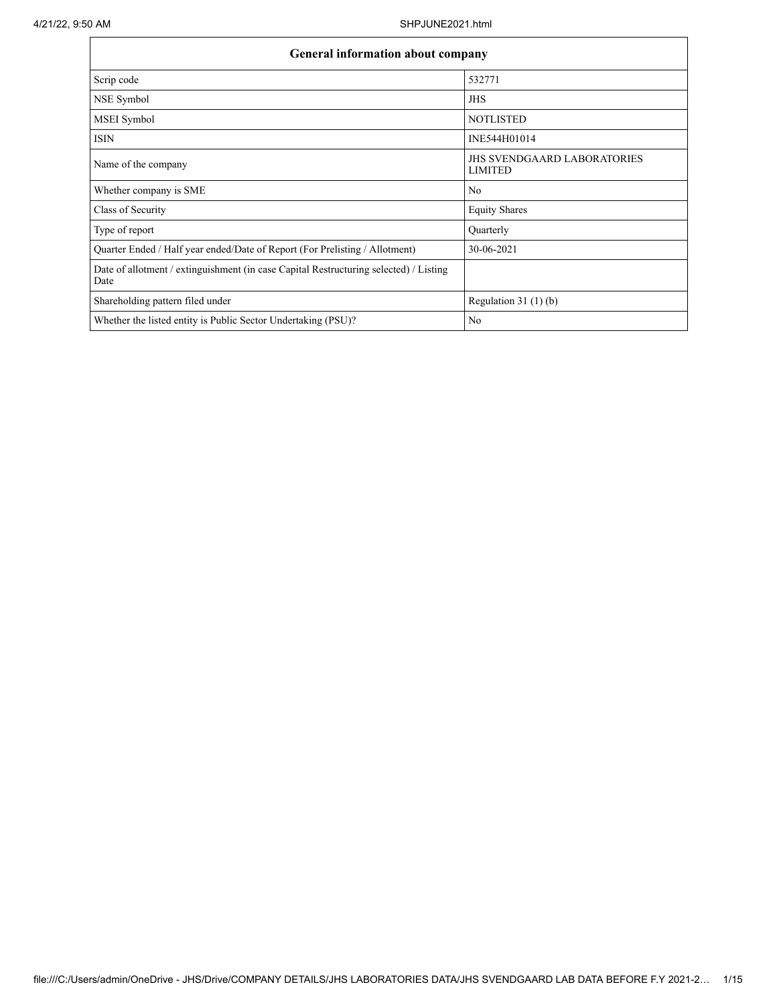| General information about company                                                             |                                                      |
|-----------------------------------------------------------------------------------------------|------------------------------------------------------|
| Scrip code                                                                                    | 532771                                               |
| NSE Symbol                                                                                    | <b>JHS</b>                                           |
| MSEI Symbol                                                                                   | <b>NOTLISTED</b>                                     |
| <b>ISIN</b>                                                                                   | INE544H01014                                         |
| Name of the company                                                                           | <b>JHS SVENDGAARD LABORATORIES</b><br><b>LIMITED</b> |
| Whether company is SME                                                                        | No                                                   |
| Class of Security                                                                             | <b>Equity Shares</b>                                 |
| Type of report                                                                                | Quarterly                                            |
| Quarter Ended / Half year ended/Date of Report (For Prelisting / Allotment)                   | 30-06-2021                                           |
| Date of allotment / extinguishment (in case Capital Restructuring selected) / Listing<br>Date |                                                      |
| Shareholding pattern filed under                                                              | Regulation $31(1)(b)$                                |
| Whether the listed entity is Public Sector Undertaking (PSU)?                                 | No                                                   |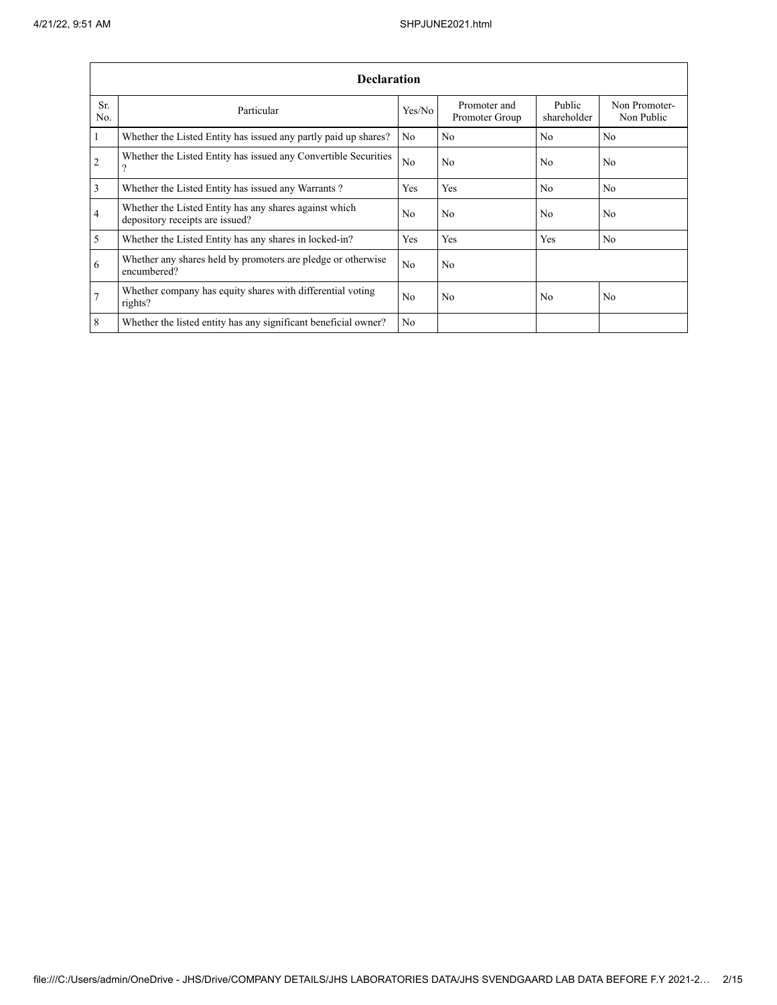|                | <b>Declaration</b>                                                                        |                |                                |                       |                             |  |  |  |  |  |  |  |
|----------------|-------------------------------------------------------------------------------------------|----------------|--------------------------------|-----------------------|-----------------------------|--|--|--|--|--|--|--|
| Sr.<br>No.     | Particular                                                                                | Yes/No         | Promoter and<br>Promoter Group | Public<br>shareholder | Non Promoter-<br>Non Public |  |  |  |  |  |  |  |
| $\mathbf{1}$   | Whether the Listed Entity has issued any partly paid up shares?                           | No             | No                             | No                    | N <sub>0</sub>              |  |  |  |  |  |  |  |
| $\overline{2}$ | Whether the Listed Entity has issued any Convertible Securities<br>$\Omega$               | No             | No                             | N <sub>0</sub>        | N <sub>0</sub>              |  |  |  |  |  |  |  |
| 3              | Whether the Listed Entity has issued any Warrants?                                        | Yes            | Yes                            | N <sub>0</sub>        | N <sub>0</sub>              |  |  |  |  |  |  |  |
| $\overline{4}$ | Whether the Listed Entity has any shares against which<br>depository receipts are issued? | N <sub>0</sub> | No                             | N <sub>0</sub>        | N <sub>0</sub>              |  |  |  |  |  |  |  |
| 5              | Whether the Listed Entity has any shares in locked-in?                                    | Yes            | <b>Yes</b>                     | Yes                   | N <sub>0</sub>              |  |  |  |  |  |  |  |
| 6              | Whether any shares held by promoters are pledge or otherwise<br>encumbered?               | N <sub>0</sub> | No                             |                       |                             |  |  |  |  |  |  |  |
| $\overline{7}$ | Whether company has equity shares with differential voting<br>rights?                     | N <sub>0</sub> | No                             | N <sub>0</sub>        | No                          |  |  |  |  |  |  |  |
| 8              | Whether the listed entity has any significant beneficial owner?                           | N <sub>0</sub> |                                |                       |                             |  |  |  |  |  |  |  |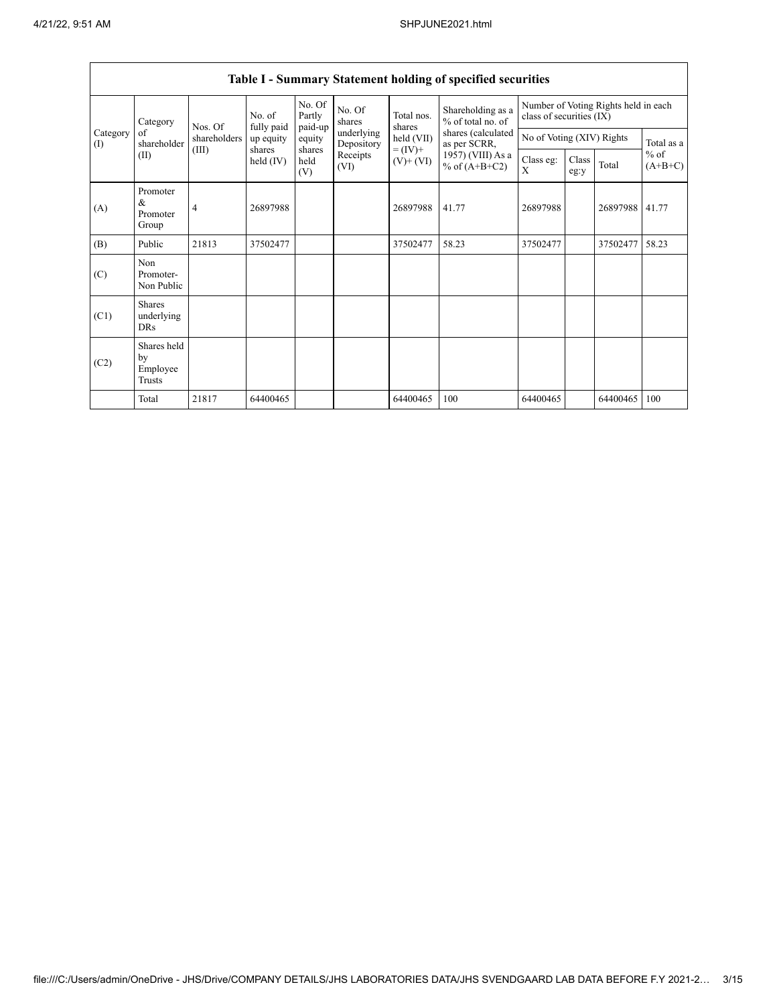|                 | Category<br>of<br>shareholder                  | fully paid<br>Nos. Of<br>shareholders | No. of                | No. Of<br>Partly      | No. Of<br>shares         | Total nos.<br>shares                       | Shareholding as a<br>% of total no. of                                     | class of securities (IX)  |               | Number of Voting Rights held in each |                     |
|-----------------|------------------------------------------------|---------------------------------------|-----------------------|-----------------------|--------------------------|--------------------------------------------|----------------------------------------------------------------------------|---------------------------|---------------|--------------------------------------|---------------------|
| Category<br>(I) |                                                |                                       | up equity             | paid-up<br>equity     | underlying<br>Depository | held (VII)<br>$= (IV) +$<br>$(V)$ + $(VI)$ | shares (calculated<br>as per SCRR,<br>1957) (VIII) As a<br>% of $(A+B+C2)$ | No of Voting (XIV) Rights |               | Total as a                           |                     |
|                 | (II)                                           | (III)                                 | shares<br>held $(IV)$ | shares<br>held<br>(V) | Receipts<br>(VI)         |                                            |                                                                            | Class eg:<br>X            | Class<br>eg:y | Total                                | $%$ of<br>$(A+B+C)$ |
| (A)             | Promoter<br>&<br>Promoter<br>Group             | 4                                     | 26897988              |                       |                          | 26897988                                   | 41.77                                                                      | 26897988                  |               | 26897988                             | 41.77               |
| (B)             | Public                                         | 21813                                 | 37502477              |                       |                          | 37502477                                   | 58.23                                                                      | 37502477                  |               | 37502477                             | 58.23               |
| (C)             | Non<br>Promoter-<br>Non Public                 |                                       |                       |                       |                          |                                            |                                                                            |                           |               |                                      |                     |
| (C1)            | <b>Shares</b><br>underlying<br>DRs             |                                       |                       |                       |                          |                                            |                                                                            |                           |               |                                      |                     |
| (C2)            | Shares held<br>by<br>Employee<br><b>Trusts</b> |                                       |                       |                       |                          |                                            |                                                                            |                           |               |                                      |                     |
|                 | Total                                          | 21817                                 | 64400465              |                       |                          | 64400465                                   | 100                                                                        | 64400465                  |               | 64400465                             | 100                 |

## **Table I - Summary Statement holding of specified securities**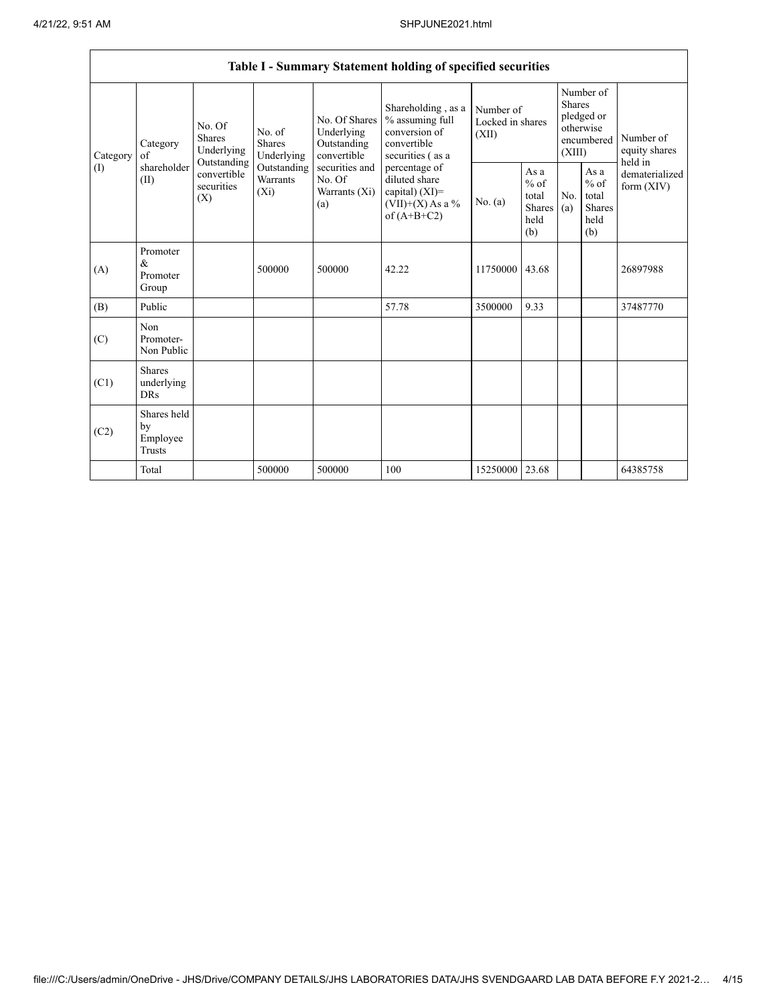|          |                                                         |                                                 |                                       |                                                           | Table I - Summary Statement holding of specified securities                               |                                        |                                                  |                                                                        |                                                         |                                       |
|----------|---------------------------------------------------------|-------------------------------------------------|---------------------------------------|-----------------------------------------------------------|-------------------------------------------------------------------------------------------|----------------------------------------|--------------------------------------------------|------------------------------------------------------------------------|---------------------------------------------------------|---------------------------------------|
| Category | No. Of<br><b>Shares</b><br>Category<br>Underlying<br>of |                                                 | No. of<br><b>Shares</b><br>Underlying | No. Of Shares<br>Underlying<br>Outstanding<br>convertible | Shareholding, as a<br>% assuming full<br>conversion of<br>convertible<br>securities (as a | Number of<br>Locked in shares<br>(XII) |                                                  | Number of<br>Shares<br>pledged or<br>otherwise<br>encumbered<br>(XIII) |                                                         | Number of<br>equity shares<br>held in |
| (1)      | shareholder<br>(II)                                     | Outstanding<br>convertible<br>securities<br>(X) | Outstanding<br>Warrants<br>$(X_i)$    | securities and<br>No. Of<br>Warrants (Xi)<br>(a)          | percentage of<br>diluted share<br>capital) (XI)=<br>$(VII)+(X)$ As a %<br>of $(A+B+C2)$   | No. $(a)$                              | As a<br>$%$ of<br>total<br>Shares<br>held<br>(b) | No.<br>(a)                                                             | As a<br>$%$ of<br>total<br><b>Shares</b><br>held<br>(b) | dematerialized<br>form (XIV)          |
| (A)      | Promoter<br>&<br>Promoter<br>Group                      |                                                 | 500000                                | 500000                                                    | 42.22                                                                                     | 11750000                               | 43.68                                            |                                                                        |                                                         | 26897988                              |
| (B)      | Public                                                  |                                                 |                                       |                                                           | 57.78                                                                                     | 3500000                                | 9.33                                             |                                                                        |                                                         | 37487770                              |
| (C)      | Non<br>Promoter-<br>Non Public                          |                                                 |                                       |                                                           |                                                                                           |                                        |                                                  |                                                                        |                                                         |                                       |
| (C1)     | <b>Shares</b><br>underlying<br><b>DRs</b>               |                                                 |                                       |                                                           |                                                                                           |                                        |                                                  |                                                                        |                                                         |                                       |
| (C2)     | Shares held<br>by<br>Employee<br>Trusts                 |                                                 |                                       |                                                           |                                                                                           |                                        |                                                  |                                                                        |                                                         |                                       |
|          | Total                                                   |                                                 | 500000                                | 500000                                                    | 100                                                                                       | 15250000 23.68                         |                                                  |                                                                        |                                                         | 64385758                              |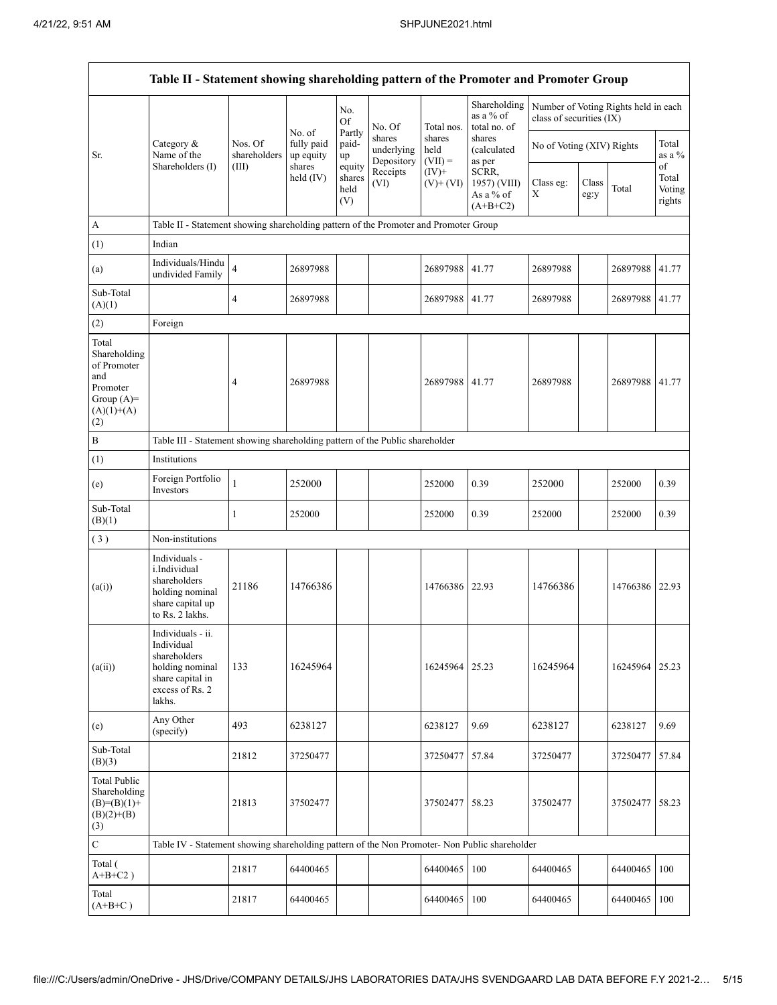|                                                                                                | Table II - Statement showing shareholding pattern of the Promoter and Promoter Group                                |                         |                                   |                                 |                                    |                             |                                                  |                                                                  |               |          |                                 |
|------------------------------------------------------------------------------------------------|---------------------------------------------------------------------------------------------------------------------|-------------------------|-----------------------------------|---------------------------------|------------------------------------|-----------------------------|--------------------------------------------------|------------------------------------------------------------------|---------------|----------|---------------------------------|
|                                                                                                |                                                                                                                     |                         |                                   | No.<br><b>Of</b>                | No. Of                             | Total nos.                  | Shareholding<br>as a % of<br>total no. of        | Number of Voting Rights held in each<br>class of securities (IX) |               |          |                                 |
| Sr.                                                                                            | Category &<br>Name of the                                                                                           | Nos. Of<br>shareholders | No. of<br>fully paid<br>up equity | Partly<br>paid-<br>up           | shares<br>underlying<br>Depository | shares<br>held<br>$(VII) =$ | shares<br>(calculated<br>as per                  | No of Voting (XIV) Rights                                        |               |          | Total<br>as a $%$               |
|                                                                                                | Shareholders (I)                                                                                                    | (III)                   | shares<br>held $(IV)$             | equity<br>shares<br>held<br>(V) | Receipts<br>(VI)                   | $(IV)+$<br>$(V)$ + $(VI)$   | SCRR,<br>1957) (VIII)<br>As a % of<br>$(A+B+C2)$ | Class eg:<br>$\mathbf X$                                         | Class<br>eg:y | Total    | of<br>Total<br>Voting<br>rights |
| A                                                                                              | Table II - Statement showing shareholding pattern of the Promoter and Promoter Group                                |                         |                                   |                                 |                                    |                             |                                                  |                                                                  |               |          |                                 |
| (1)                                                                                            | Indian                                                                                                              |                         |                                   |                                 |                                    |                             |                                                  |                                                                  |               |          |                                 |
| (a)                                                                                            | Individuals/Hindu<br>undivided Family                                                                               | $\overline{\mathbf{4}}$ | 26897988                          |                                 |                                    | 26897988                    | 41.77                                            | 26897988                                                         |               | 26897988 | 41.77                           |
| Sub-Total<br>(A)(1)                                                                            |                                                                                                                     | $\overline{4}$          | 26897988                          |                                 |                                    | 26897988                    | 41.77                                            | 26897988                                                         |               | 26897988 | 41.77                           |
| (2)                                                                                            | Foreign                                                                                                             |                         |                                   |                                 |                                    |                             |                                                  |                                                                  |               |          |                                 |
| Total<br>Shareholding<br>of Promoter<br>and<br>Promoter<br>Group $(A)=$<br>$(A)(1)+(A)$<br>(2) |                                                                                                                     | 4                       | 26897988                          |                                 |                                    | 26897988                    | 41.77                                            | 26897988                                                         |               | 26897988 | 41.77                           |
| $\, {\bf B}$                                                                                   | Table III - Statement showing shareholding pattern of the Public shareholder                                        |                         |                                   |                                 |                                    |                             |                                                  |                                                                  |               |          |                                 |
| (1)                                                                                            | Institutions                                                                                                        |                         |                                   |                                 |                                    |                             |                                                  |                                                                  |               |          |                                 |
| (e)                                                                                            | Foreign Portfolio<br>Investors                                                                                      | $\mathbf{1}$            | 252000                            |                                 |                                    | 252000                      | 0.39                                             | 252000                                                           |               | 252000   | 0.39                            |
| Sub-Total<br>(B)(1)                                                                            |                                                                                                                     | 1                       | 252000                            |                                 |                                    | 252000                      | 0.39                                             | 252000                                                           |               | 252000   | 0.39                            |
| (3)                                                                                            | Non-institutions                                                                                                    |                         |                                   |                                 |                                    |                             |                                                  |                                                                  |               |          |                                 |
| (a(i))                                                                                         | Individuals -<br>i.Individual<br>shareholders<br>holding nominal<br>share capital up<br>to Rs. 2 lakhs.             | 21186                   | 14766386                          |                                 |                                    | 14766386                    | 22.93                                            | 14766386                                                         |               | 14766386 | 22.93                           |
| (a(ii))                                                                                        | Individuals - ii.<br>Individual<br>shareholders<br>holding nominal<br>share capital in<br>excess of Rs. 2<br>lakhs. | 133                     | 16245964                          |                                 |                                    | 16245964 25.23              |                                                  | 16245964                                                         |               | 16245964 | 25.23                           |
| (e)                                                                                            | Any Other<br>(specify)                                                                                              | 493                     | 6238127                           |                                 |                                    | 6238127                     | 9.69                                             | 6238127                                                          |               | 6238127  | 9.69                            |
| Sub-Total<br>(B)(3)                                                                            |                                                                                                                     | 21812                   | 37250477                          |                                 |                                    | 37250477                    | 57.84                                            | 37250477                                                         |               | 37250477 | 57.84                           |
| <b>Total Public</b><br>Shareholding<br>$(B)=(B)(1)+$<br>$(B)(2)+(B)$<br>(3)                    |                                                                                                                     | 21813                   | 37502477                          |                                 |                                    | 37502477                    | 58.23                                            | 37502477                                                         |               | 37502477 | 58.23                           |
| $\mathbf C$                                                                                    | Table IV - Statement showing shareholding pattern of the Non Promoter- Non Public shareholder                       |                         |                                   |                                 |                                    |                             |                                                  |                                                                  |               |          |                                 |
| Total (<br>$A+B+C2$ )                                                                          |                                                                                                                     | 21817                   | 64400465                          |                                 |                                    | 64400465                    | 100                                              | 64400465                                                         |               | 64400465 | 100                             |
| Total<br>$(A+B+C)$                                                                             |                                                                                                                     | 21817                   | 64400465                          |                                 |                                    | 64400465                    | 100                                              | 64400465                                                         |               | 64400465 | 100                             |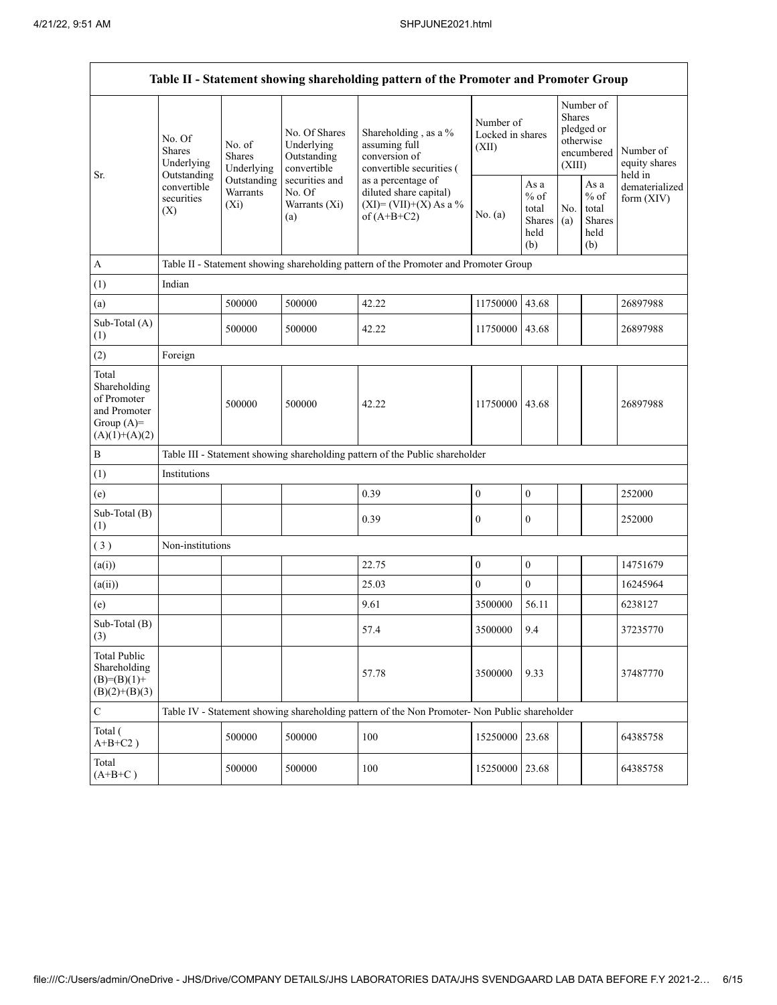|                                                                                         |                                                 |                                       |                                                                                                               | Table II - Statement showing shareholding pattern of the Promoter and Promoter Group          |                                        |                                                  |                         |                                                    |                                       |  |
|-----------------------------------------------------------------------------------------|-------------------------------------------------|---------------------------------------|---------------------------------------------------------------------------------------------------------------|-----------------------------------------------------------------------------------------------|----------------------------------------|--------------------------------------------------|-------------------------|----------------------------------------------------|---------------------------------------|--|
| Sr.                                                                                     | No. Of<br><b>Shares</b><br>Underlying           | No. of<br><b>Shares</b><br>Underlying | No. Of Shares<br>Underlying<br>Outstanding<br>convertible<br>securities and<br>No. Of<br>Warrants (Xi)<br>(a) | Shareholding, as a %<br>assuming full<br>conversion of<br>convertible securities (            | Number of<br>Locked in shares<br>(XII) |                                                  | <b>Shares</b><br>(XIII) | Number of<br>pledged or<br>otherwise<br>encumbered | Number of<br>equity shares<br>held in |  |
|                                                                                         | Outstanding<br>convertible<br>securities<br>(X) | Outstanding<br>Warrants<br>$(X_i)$    |                                                                                                               | as a percentage of<br>diluted share capital)<br>$(XI) = (VII)+(X) As a %$<br>of $(A+B+C2)$    | No. (a)                                | As a<br>$%$ of<br>total<br>Shares<br>held<br>(b) | No.<br>(a)              | As a<br>$%$ of<br>total<br>Shares<br>held<br>(b)   | dematerialized<br>form $(XIV)$        |  |
| $\mathbf{A}$                                                                            |                                                 |                                       |                                                                                                               | Table II - Statement showing shareholding pattern of the Promoter and Promoter Group          |                                        |                                                  |                         |                                                    |                                       |  |
| (1)                                                                                     | Indian                                          |                                       |                                                                                                               |                                                                                               |                                        |                                                  |                         |                                                    |                                       |  |
| (a)                                                                                     |                                                 | 500000                                | 500000                                                                                                        | 42.22                                                                                         | 11750000                               | 43.68                                            |                         |                                                    | 26897988                              |  |
| Sub-Total (A)<br>(1)                                                                    |                                                 | 500000                                | 500000                                                                                                        | 42.22                                                                                         | 11750000                               | 43.68                                            |                         |                                                    | 26897988                              |  |
| (2)                                                                                     | Foreign                                         |                                       |                                                                                                               |                                                                                               |                                        |                                                  |                         |                                                    |                                       |  |
| Total<br>Shareholding<br>of Promoter<br>and Promoter<br>Group $(A)=$<br>$(A)(1)+(A)(2)$ |                                                 | 500000                                | 500000                                                                                                        | 42.22                                                                                         | 11750000                               | 43.68                                            |                         |                                                    | 26897988                              |  |
| $\, {\bf B}$                                                                            |                                                 |                                       |                                                                                                               | Table III - Statement showing shareholding pattern of the Public shareholder                  |                                        |                                                  |                         |                                                    |                                       |  |
| (1)                                                                                     | Institutions                                    |                                       |                                                                                                               |                                                                                               |                                        |                                                  |                         |                                                    |                                       |  |
| (e)                                                                                     |                                                 |                                       |                                                                                                               | 0.39                                                                                          | $\boldsymbol{0}$                       | $\boldsymbol{0}$                                 |                         |                                                    | 252000                                |  |
| Sub-Total (B)<br>(1)                                                                    |                                                 |                                       |                                                                                                               | 0.39                                                                                          | $\mathbf{0}$                           | $\mathbf{0}$                                     |                         |                                                    | 252000                                |  |
| (3)                                                                                     | Non-institutions                                |                                       |                                                                                                               |                                                                                               |                                        |                                                  |                         |                                                    |                                       |  |
| (a(i))                                                                                  |                                                 |                                       |                                                                                                               | 22.75                                                                                         | $\boldsymbol{0}$                       | $\boldsymbol{0}$                                 |                         |                                                    | 14751679                              |  |
| (a(ii))                                                                                 |                                                 |                                       |                                                                                                               | 25.03                                                                                         | $\mathbf{0}$                           | $\overline{0}$                                   |                         |                                                    | 16245964                              |  |
| (e)                                                                                     |                                                 |                                       |                                                                                                               | 9.61                                                                                          | 3500000                                | 56.11                                            |                         |                                                    | 6238127                               |  |
| Sub-Total (B)<br>(3)                                                                    |                                                 |                                       |                                                                                                               | 57.4                                                                                          | 3500000                                | 9.4                                              |                         |                                                    | 37235770                              |  |
| <b>Total Public</b><br>Shareholding<br>$(B)=(B)(1)+$<br>$(B)(2)+(B)(3)$                 |                                                 |                                       |                                                                                                               | 57.78                                                                                         | 3500000                                | 9.33                                             |                         |                                                    | 37487770                              |  |
| $\mathbf C$                                                                             |                                                 |                                       |                                                                                                               | Table IV - Statement showing shareholding pattern of the Non Promoter- Non Public shareholder |                                        |                                                  |                         |                                                    |                                       |  |
| Total (<br>$A+B+C2$ )                                                                   |                                                 | 500000                                | 500000                                                                                                        | 100                                                                                           | 15250000                               | 23.68                                            |                         |                                                    | 64385758                              |  |
| Total<br>$(A+B+C)$                                                                      |                                                 | 500000                                | 500000                                                                                                        | 100                                                                                           | 15250000                               | 23.68                                            |                         |                                                    | 64385758                              |  |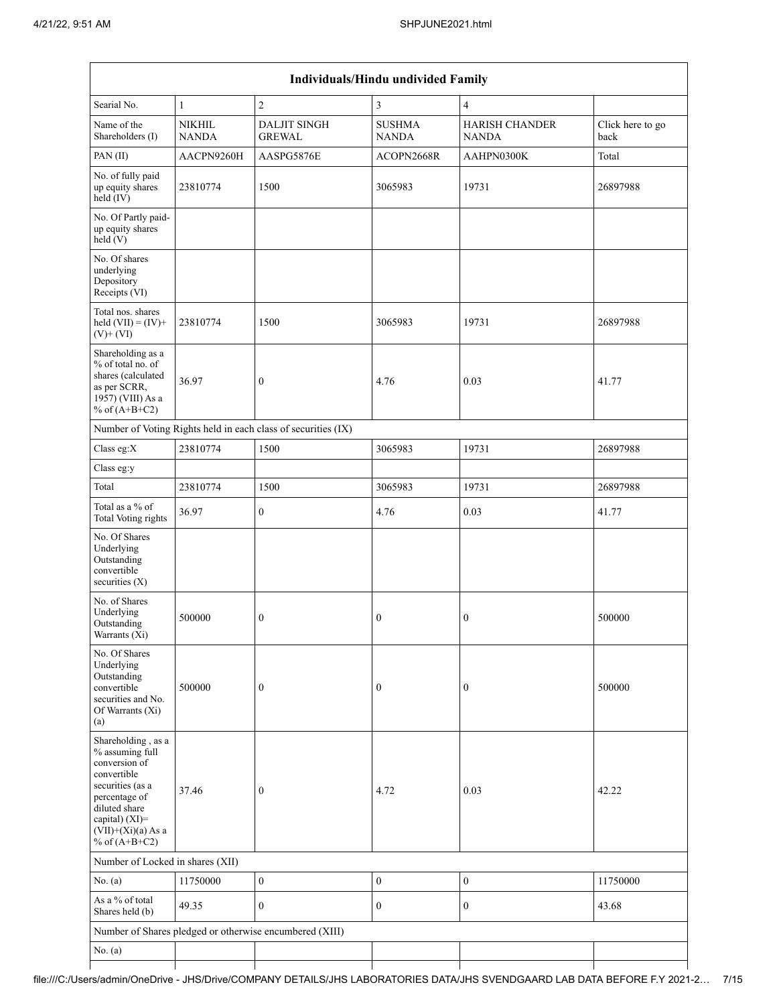|                                                                                                                                                                                          |                               |                                                               | Individuals/Hindu undivided Family |                                       |                          |
|------------------------------------------------------------------------------------------------------------------------------------------------------------------------------------------|-------------------------------|---------------------------------------------------------------|------------------------------------|---------------------------------------|--------------------------|
| Searial No.                                                                                                                                                                              | 1                             | $\sqrt{2}$                                                    | 3                                  | $\overline{4}$                        |                          |
| Name of the<br>Shareholders (I)                                                                                                                                                          | <b>NIKHIL</b><br><b>NANDA</b> | <b>DALJIT SINGH</b><br><b>GREWAL</b>                          | <b>SUSHMA</b><br><b>NANDA</b>      | <b>HARISH CHANDER</b><br><b>NANDA</b> | Click here to go<br>back |
| PAN(II)                                                                                                                                                                                  | AACPN9260H                    | AASPG5876E                                                    | ACOPN2668R                         | AAHPN0300K                            | Total                    |
| No. of fully paid<br>up equity shares<br>held(TV)                                                                                                                                        | 23810774                      | 1500                                                          | 3065983                            | 19731                                 | 26897988                 |
| No. Of Partly paid-<br>up equity shares<br>held(V)                                                                                                                                       |                               |                                                               |                                    |                                       |                          |
| No. Of shares<br>underlying<br>Depository<br>Receipts (VI)                                                                                                                               |                               |                                                               |                                    |                                       |                          |
| Total nos. shares<br>held $(VII) = (IV) +$<br>$(V)$ + $(VI)$                                                                                                                             | 23810774                      | 1500                                                          | 3065983                            | 19731                                 | 26897988                 |
| Shareholding as a<br>% of total no. of<br>shares (calculated<br>as per SCRR,<br>1957) (VIII) As a<br>% of $(A+B+C2)$                                                                     | 36.97                         | $\boldsymbol{0}$                                              | 4.76                               | 0.03                                  | 41.77                    |
|                                                                                                                                                                                          |                               | Number of Voting Rights held in each class of securities (IX) |                                    |                                       |                          |
| Class eg:X                                                                                                                                                                               | 23810774                      | 1500                                                          | 3065983                            | 19731                                 | 26897988                 |
| Class eg:y                                                                                                                                                                               |                               |                                                               |                                    |                                       |                          |
| Total                                                                                                                                                                                    | 23810774                      | 1500                                                          | 3065983                            | 19731                                 | 26897988                 |
| Total as a % of<br><b>Total Voting rights</b>                                                                                                                                            | 36.97                         | $\boldsymbol{0}$                                              | 4.76                               | 0.03                                  | 41.77                    |
| No. Of Shares<br>Underlying<br>Outstanding<br>convertible<br>securities (X)                                                                                                              |                               |                                                               |                                    |                                       |                          |
| No. of Shares<br>Underlying<br>Outstanding<br>Warrants (Xi)                                                                                                                              | 500000                        | $\boldsymbol{0}$                                              | $\boldsymbol{0}$                   | $\boldsymbol{0}$                      | 500000                   |
| No. Of Shares<br>Underlying<br>Outstanding<br>convertible<br>securities and No.<br>Of Warrants (Xi)<br>(a)                                                                               | 500000                        | $\boldsymbol{0}$                                              | $\boldsymbol{0}$                   | $\boldsymbol{0}$                      | 500000                   |
| Shareholding, as a<br>% assuming full<br>conversion of<br>convertible<br>securities (as a<br>percentage of<br>diluted share<br>capital) (XI)=<br>$(VII)+(Xi)(a)$ As a<br>% of $(A+B+C2)$ | 37.46                         | $\boldsymbol{0}$                                              | 4.72                               | 0.03                                  | 42.22                    |
| Number of Locked in shares (XII)                                                                                                                                                         |                               |                                                               |                                    |                                       |                          |
| No. (a)                                                                                                                                                                                  | 11750000                      | $\boldsymbol{0}$                                              | $\boldsymbol{0}$                   | $\boldsymbol{0}$                      | 11750000                 |
| As a % of total<br>Shares held (b)                                                                                                                                                       | 49.35                         | $\mathbf{0}$                                                  | $\boldsymbol{0}$                   | $\boldsymbol{0}$                      | 43.68                    |
|                                                                                                                                                                                          |                               | Number of Shares pledged or otherwise encumbered (XIII)       |                                    |                                       |                          |
| No. (a)                                                                                                                                                                                  |                               |                                                               |                                    |                                       |                          |
|                                                                                                                                                                                          |                               |                                                               |                                    |                                       |                          |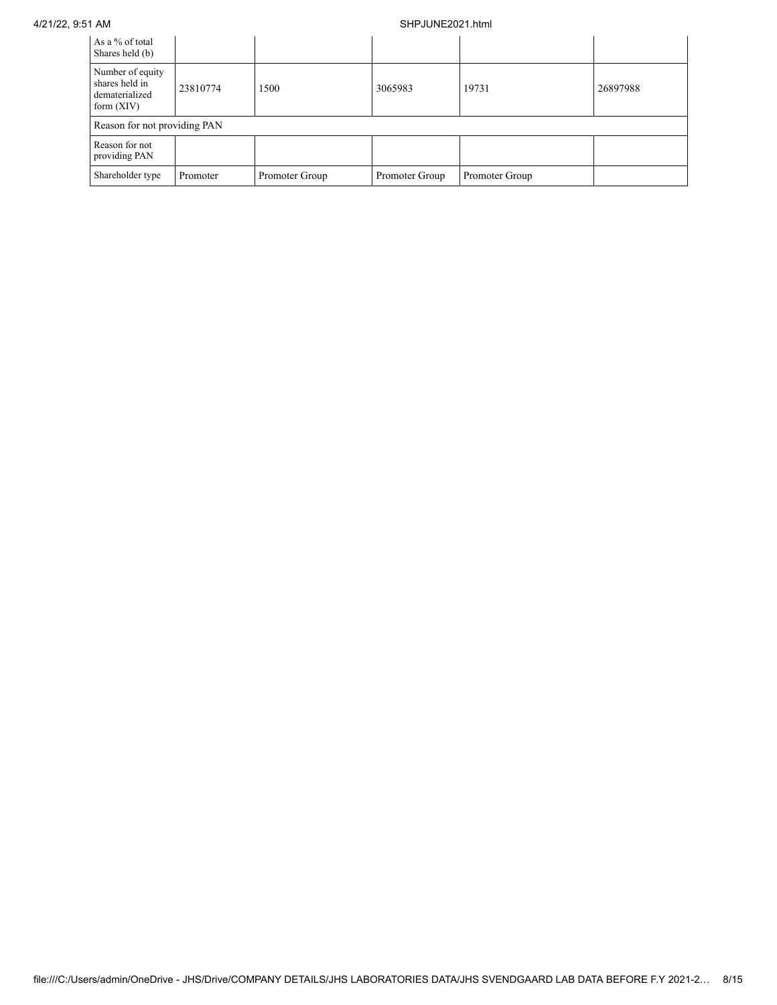## 4/21/22, 9:51 AM SHPJUNE2021.html

| As a % of total<br>Shares held (b)                                   |          |                |                |                |          |
|----------------------------------------------------------------------|----------|----------------|----------------|----------------|----------|
| Number of equity<br>shares held in<br>dematerialized<br>form $(XIV)$ | 23810774 | 1500           | 3065983        | 19731          | 26897988 |
| Reason for not providing PAN                                         |          |                |                |                |          |
| Reason for not<br>providing PAN                                      |          |                |                |                |          |
| Shareholder type                                                     | Promoter | Promoter Group | Promoter Group | Promoter Group |          |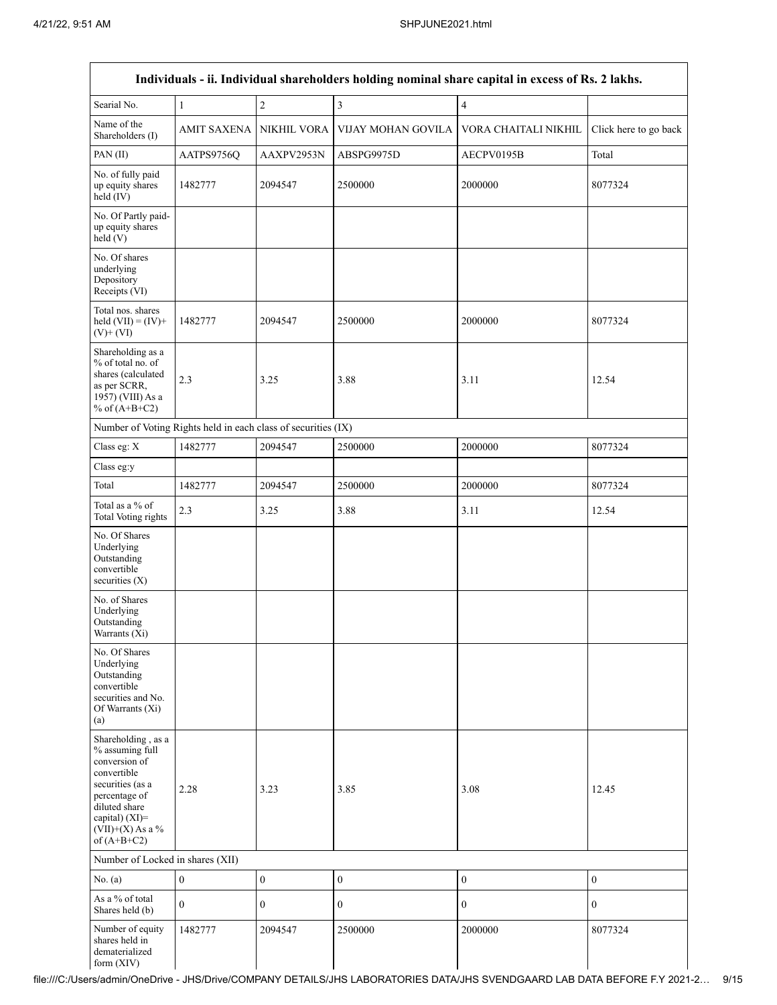|                                                                                                                                                                                      |                  |                  |                    | Individuals - ii. Individual shareholders holding nominal share capital in excess of Rs. 2 lakhs. |                       |
|--------------------------------------------------------------------------------------------------------------------------------------------------------------------------------------|------------------|------------------|--------------------|---------------------------------------------------------------------------------------------------|-----------------------|
| Searial No.                                                                                                                                                                          | $\mathbf{1}$     | $\sqrt{2}$       | 3                  | $\overline{4}$                                                                                    |                       |
| Name of the<br>Shareholders (I)                                                                                                                                                      | AMIT SAXENA      | NIKHIL VORA      | VIJAY MOHAN GOVILA | VORA CHAITALI NIKHIL                                                                              | Click here to go back |
| PAN(II)                                                                                                                                                                              | AATPS9756Q       | AAXPV2953N       | ABSPG9975D         | AECPV0195B                                                                                        | Total                 |
| No. of fully paid<br>up equity shares<br>held (IV)                                                                                                                                   | 1482777          | 2094547          | 2500000            | 2000000                                                                                           | 8077324               |
| No. Of Partly paid-<br>up equity shares<br>held(V)                                                                                                                                   |                  |                  |                    |                                                                                                   |                       |
| No. Of shares<br>underlying<br>Depository<br>Receipts (VI)                                                                                                                           |                  |                  |                    |                                                                                                   |                       |
| Total nos. shares<br>held $(VII) = (IV) +$<br>$(V)$ + $(VI)$                                                                                                                         | 1482777          | 2094547          | 2500000            | 2000000                                                                                           | 8077324               |
| Shareholding as a<br>% of total no. of<br>shares (calculated<br>as per SCRR,<br>1957) (VIII) As a<br>% of $(A+B+C2)$                                                                 | 2.3              | 3.25             | 3.88               | 3.11                                                                                              | 12.54                 |
| Number of Voting Rights held in each class of securities (IX)                                                                                                                        |                  |                  |                    |                                                                                                   |                       |
| Class eg: X                                                                                                                                                                          | 1482777          | 2094547          | 2500000            | 2000000                                                                                           | 8077324               |
| Class eg:y                                                                                                                                                                           |                  |                  |                    |                                                                                                   |                       |
| Total                                                                                                                                                                                | 1482777          | 2094547          | 2500000            | 2000000                                                                                           | 8077324               |
| Total as a % of<br><b>Total Voting rights</b>                                                                                                                                        | 2.3              | 3.25             | 3.88               | 3.11                                                                                              | 12.54                 |
| No. Of Shares<br>Underlying<br>Outstanding<br>convertible<br>securities (X)                                                                                                          |                  |                  |                    |                                                                                                   |                       |
| No. of Shares<br>Underlying<br>Outstanding<br>Warrants (Xi)                                                                                                                          |                  |                  |                    |                                                                                                   |                       |
| No. Of Shares<br>Underlying<br>Outstanding<br>convertible<br>securities and No.<br>Of Warrants (Xi)<br>(a)                                                                           |                  |                  |                    |                                                                                                   |                       |
| Shareholding, as a<br>% assuming full<br>conversion of<br>convertible<br>securities (as a<br>percentage of<br>diluted share<br>capital) (XI)=<br>$(VII)+(X)$ As a %<br>of $(A+B+C2)$ | 2.28             | 3.23             | 3.85               | 3.08                                                                                              | 12.45                 |
| Number of Locked in shares (XII)                                                                                                                                                     |                  |                  |                    |                                                                                                   |                       |
| No. (a)                                                                                                                                                                              | $\boldsymbol{0}$ | $\boldsymbol{0}$ | $\mathbf{0}$       | $\boldsymbol{0}$                                                                                  | $\mathbf{0}$          |
| As a % of total<br>Shares held (b)                                                                                                                                                   | $\theta$         | $\boldsymbol{0}$ | $\mathbf{0}$       | $\boldsymbol{0}$                                                                                  | $\boldsymbol{0}$      |
| Number of equity<br>shares held in<br>dematerialized<br>form (XIV)                                                                                                                   | 1482777          | 2094547          | 2500000            | 2000000                                                                                           | 8077324               |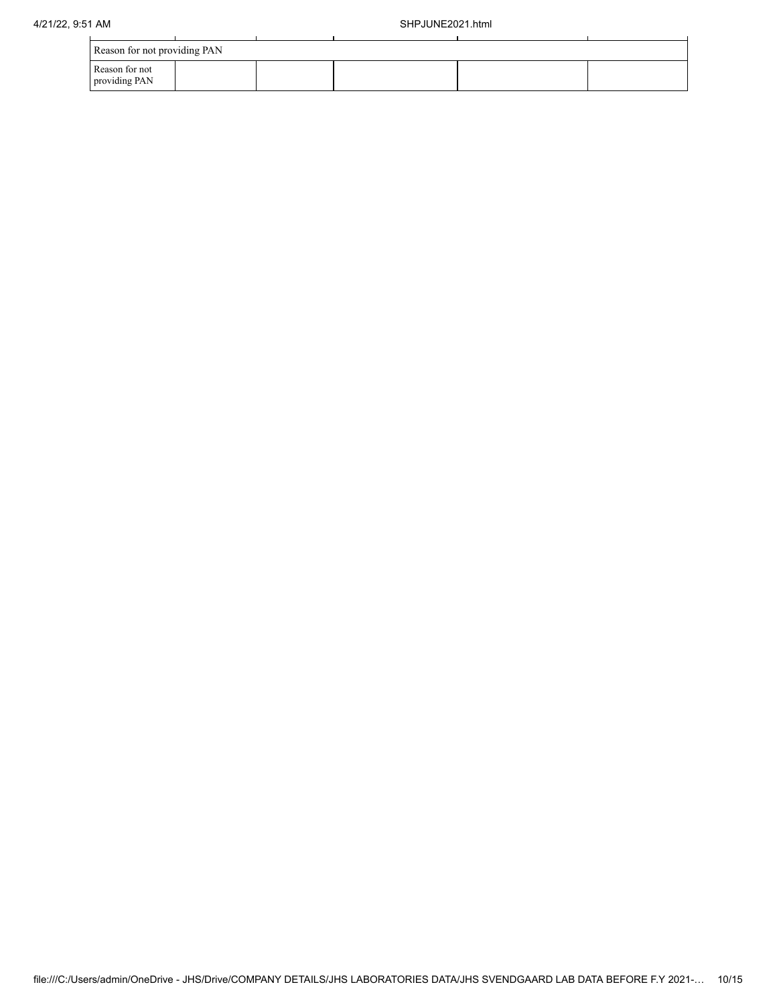| Reason for not providing PAN    |  |  |  |
|---------------------------------|--|--|--|
| Reason for not<br>providing PAN |  |  |  |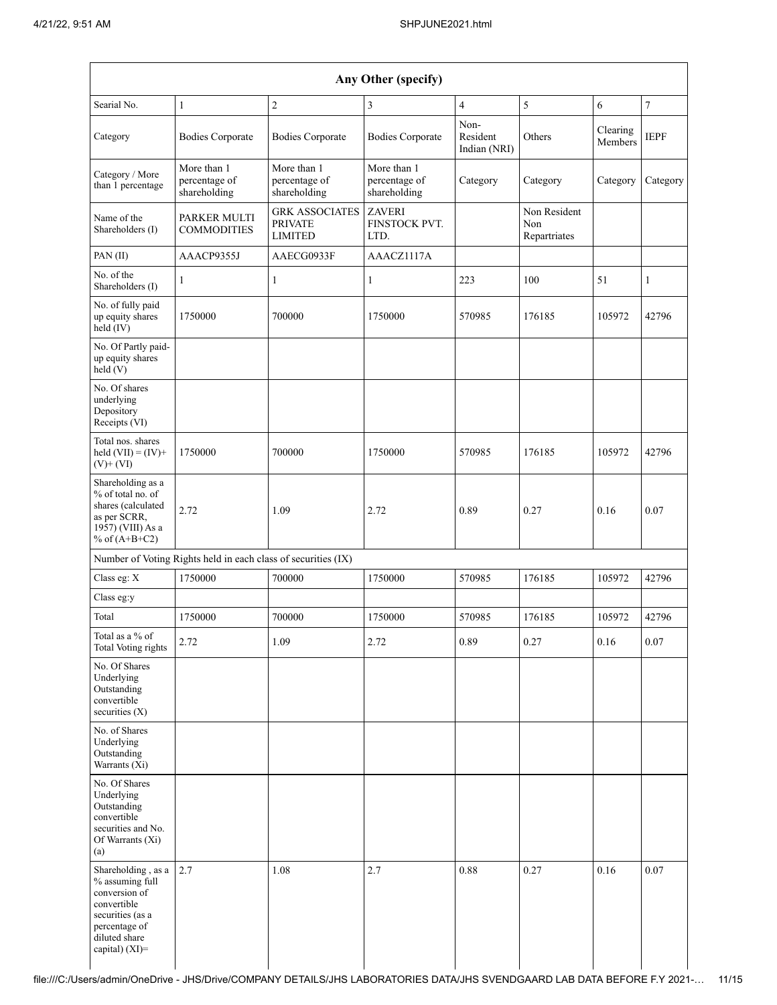|                                                                                                                                                  | Any Other (specify)                                           |                                                           |                                              |                                  |                                     |                     |                |  |  |  |  |  |  |
|--------------------------------------------------------------------------------------------------------------------------------------------------|---------------------------------------------------------------|-----------------------------------------------------------|----------------------------------------------|----------------------------------|-------------------------------------|---------------------|----------------|--|--|--|--|--|--|
| Searial No.                                                                                                                                      | 1                                                             | $\overline{2}$                                            | 3                                            | $\overline{4}$                   | 5                                   | 6                   | $\overline{7}$ |  |  |  |  |  |  |
| Category                                                                                                                                         | <b>Bodies Corporate</b>                                       | <b>Bodies Corporate</b>                                   | <b>Bodies Corporate</b>                      | Non-<br>Resident<br>Indian (NRI) | Others                              | Clearing<br>Members | <b>IEPF</b>    |  |  |  |  |  |  |
| Category / More<br>than 1 percentage                                                                                                             | More than 1<br>percentage of<br>shareholding                  | More than 1<br>percentage of<br>shareholding              | More than 1<br>percentage of<br>shareholding | Category                         | Category                            | Category            | Category       |  |  |  |  |  |  |
| Name of the<br>Shareholders (I)                                                                                                                  | <b>PARKER MULTI</b><br><b>COMMODITIES</b>                     | <b>GRK ASSOCIATES</b><br><b>PRIVATE</b><br><b>LIMITED</b> | <b>ZAVERI</b><br>FINSTOCK PVT.<br>LTD.       |                                  | Non Resident<br>Non<br>Repartriates |                     |                |  |  |  |  |  |  |
| PAN(II)                                                                                                                                          | AAACP9355J                                                    | AAECG0933F                                                | AAACZ1117A                                   |                                  |                                     |                     |                |  |  |  |  |  |  |
| No. of the<br>Shareholders (I)                                                                                                                   | 1                                                             | 1                                                         | $\mathbf{1}$                                 | 223                              | 100                                 | 51                  | 1              |  |  |  |  |  |  |
| No. of fully paid<br>up equity shares<br>held (IV)                                                                                               | 1750000                                                       | 700000                                                    | 1750000                                      | 570985                           | 176185                              | 105972              | 42796          |  |  |  |  |  |  |
| No. Of Partly paid-<br>up equity shares<br>held(V)                                                                                               |                                                               |                                                           |                                              |                                  |                                     |                     |                |  |  |  |  |  |  |
| No. Of shares<br>underlying<br>Depository<br>Receipts (VI)                                                                                       |                                                               |                                                           |                                              |                                  |                                     |                     |                |  |  |  |  |  |  |
| Total nos. shares<br>held $(VII) = (IV) +$<br>$(V)$ + $(VI)$                                                                                     | 1750000                                                       | 700000                                                    | 1750000                                      | 570985                           | 176185                              | 105972              | 42796          |  |  |  |  |  |  |
| Shareholding as a<br>% of total no. of<br>shares (calculated<br>as per SCRR,<br>1957) (VIII) As a<br>% of $(A+B+C2)$                             | 2.72                                                          | 1.09                                                      | 2.72                                         | 0.89                             | 0.27                                | 0.16                | 0.07           |  |  |  |  |  |  |
|                                                                                                                                                  | Number of Voting Rights held in each class of securities (IX) |                                                           |                                              |                                  |                                     |                     |                |  |  |  |  |  |  |
| Class eg: X                                                                                                                                      | 1750000                                                       | 700000                                                    | 1750000                                      | 570985                           | 176185                              | 105972              | 42796          |  |  |  |  |  |  |
| Class eg:y                                                                                                                                       |                                                               |                                                           |                                              |                                  |                                     |                     |                |  |  |  |  |  |  |
| Total                                                                                                                                            | 1750000                                                       | 700000                                                    | 1750000                                      | 570985                           | 176185                              | 105972              | 42796          |  |  |  |  |  |  |
| Total as a % of<br><b>Total Voting rights</b>                                                                                                    | 2.72                                                          | 1.09                                                      | 2.72                                         | 0.89                             | 0.27                                | 0.16                | 0.07           |  |  |  |  |  |  |
| No. Of Shares<br>Underlying<br>Outstanding<br>convertible<br>securities $(X)$                                                                    |                                                               |                                                           |                                              |                                  |                                     |                     |                |  |  |  |  |  |  |
| No. of Shares<br>Underlying<br>Outstanding<br>Warrants (Xi)                                                                                      |                                                               |                                                           |                                              |                                  |                                     |                     |                |  |  |  |  |  |  |
| No. Of Shares<br>Underlying<br>Outstanding<br>convertible<br>securities and No.<br>Of Warrants (Xi)<br>(a)                                       |                                                               |                                                           |                                              |                                  |                                     |                     |                |  |  |  |  |  |  |
| Shareholding, as a<br>% assuming full<br>conversion of<br>convertible<br>securities (as a<br>percentage of<br>diluted share<br>capital) $(XI)$ = | 2.7                                                           | 1.08                                                      | 2.7                                          | 0.88                             | 0.27                                | 0.16                | 0.07           |  |  |  |  |  |  |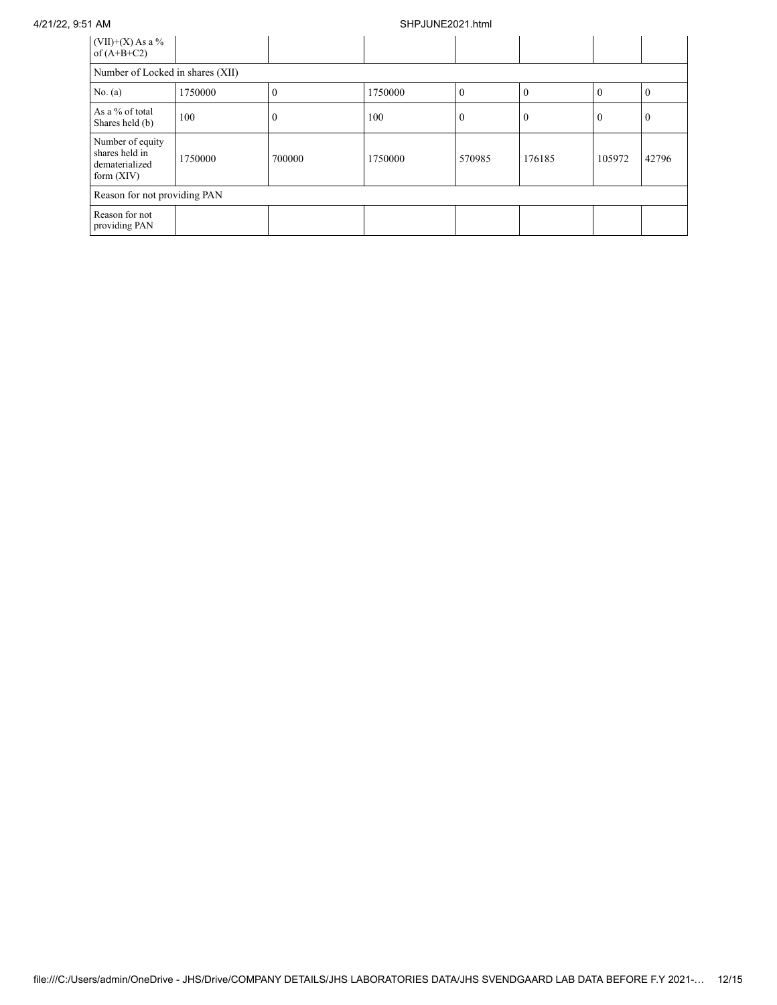## 4/21/22, 9:51 AM SHPJUNE2021.html

| $(VII)+(X)$ As a %<br>of $(A+B+C2)$                                  |         |        |         |                  |          |              |                |  |  |  |
|----------------------------------------------------------------------|---------|--------|---------|------------------|----------|--------------|----------------|--|--|--|
| Number of Locked in shares (XII)                                     |         |        |         |                  |          |              |                |  |  |  |
| No. $(a)$                                                            | 1750000 |        | 1750000 | $\theta$         | $\Omega$ | $\Omega$     | $\overline{0}$ |  |  |  |
| As a % of total<br>Shares held (b)                                   | 100     |        | 100     | $\boldsymbol{0}$ | $\theta$ | $\mathbf{0}$ | $\overline{0}$ |  |  |  |
| Number of equity<br>shares held in<br>dematerialized<br>form $(XIV)$ | 1750000 | 700000 | 1750000 | 570985           | 176185   | 105972       | 42796          |  |  |  |
| Reason for not providing PAN                                         |         |        |         |                  |          |              |                |  |  |  |
| Reason for not<br>providing PAN                                      |         |        |         |                  |          |              |                |  |  |  |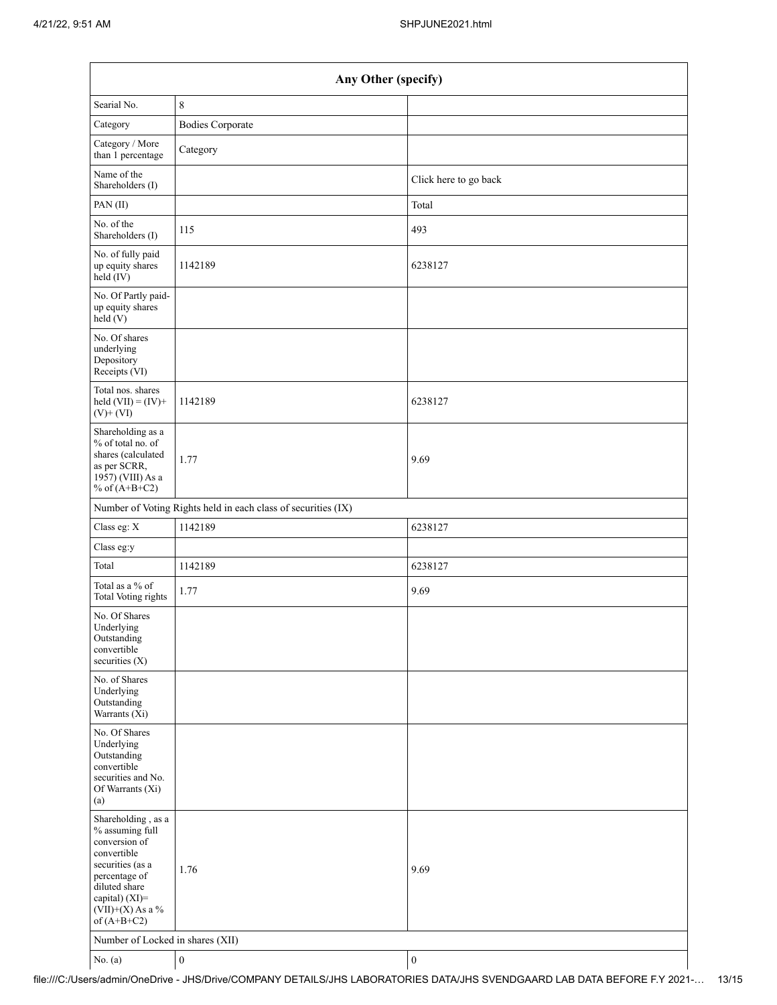| Any Other (specify)                                                                                                                                                                  |                         |                       |  |
|--------------------------------------------------------------------------------------------------------------------------------------------------------------------------------------|-------------------------|-----------------------|--|
| Searial No.                                                                                                                                                                          | $\,8\,$                 |                       |  |
| Category                                                                                                                                                                             | <b>Bodies Corporate</b> |                       |  |
| Category / More<br>than 1 percentage                                                                                                                                                 | Category                |                       |  |
| Name of the<br>Shareholders (I)                                                                                                                                                      |                         | Click here to go back |  |
| PAN(II)                                                                                                                                                                              |                         | Total                 |  |
| No. of the<br>Shareholders (I)                                                                                                                                                       | 115                     | 493                   |  |
| No. of fully paid<br>up equity shares<br>held (IV)                                                                                                                                   | 1142189                 | 6238127               |  |
| No. Of Partly paid-<br>up equity shares<br>held (V)                                                                                                                                  |                         |                       |  |
| No. Of shares<br>underlying<br>Depository<br>Receipts (VI)                                                                                                                           |                         |                       |  |
| Total nos. shares<br>held $(VII) = (IV) +$<br>$(V)$ + $(VI)$                                                                                                                         | 1142189                 | 6238127               |  |
| Shareholding as a<br>% of total no. of<br>shares (calculated<br>as per SCRR,<br>1957) (VIII) As a<br>% of $(A+B+C2)$                                                                 | 1.77                    | 9.69                  |  |
| Number of Voting Rights held in each class of securities (IX)                                                                                                                        |                         |                       |  |
| Class eg: X                                                                                                                                                                          | 1142189                 | 6238127               |  |
| Class eg:y                                                                                                                                                                           |                         |                       |  |
| Total                                                                                                                                                                                | 1142189                 | 6238127               |  |
| Total as a % of<br><b>Total Voting rights</b>                                                                                                                                        | 1.77                    | 9.69                  |  |
| No. Of Shares<br>Underlying<br>Outstanding<br>convertible<br>securities $(X)$                                                                                                        |                         |                       |  |
| No. of Shares<br>Underlying<br>Outstanding<br>Warrants (Xi)                                                                                                                          |                         |                       |  |
| No. Of Shares<br>Underlying<br>Outstanding<br>convertible<br>securities and No.<br>Of Warrants (Xi)<br>(a)                                                                           |                         |                       |  |
| Shareholding, as a<br>% assuming full<br>conversion of<br>convertible<br>securities (as a<br>percentage of<br>diluted share<br>capital) (XI)=<br>$(VII)+(X)$ As a %<br>of $(A+B+C2)$ | 1.76                    | 9.69                  |  |
| Number of Locked in shares (XII)                                                                                                                                                     |                         |                       |  |
| No. $(a)$                                                                                                                                                                            | $\boldsymbol{0}$        | $\boldsymbol{0}$      |  |

file:///C:/Users/admin/OneDrive - JHS/Drive/COMPANY DETAILS/JHS LABORATORIES DATA/JHS SVENDGAARD LAB DATA BEFORE F.Y 2021-… 13/15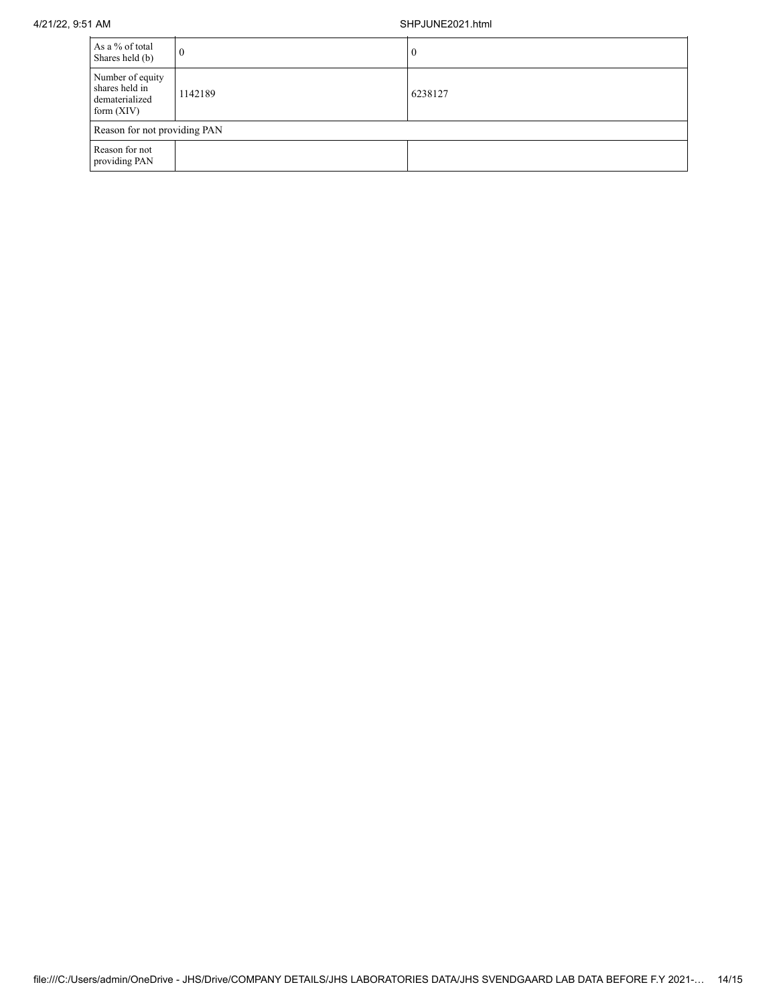## 4/21/22, 9:51 AM SHPJUNE2021.html

| As a % of total<br>Shares held (b)                                   | $\overline{0}$ | $\bf{0}$ |  |
|----------------------------------------------------------------------|----------------|----------|--|
| Number of equity<br>shares held in<br>dematerialized<br>form $(XIV)$ | 1142189        | 6238127  |  |
| Reason for not providing PAN                                         |                |          |  |
| Reason for not<br>providing PAN                                      |                |          |  |